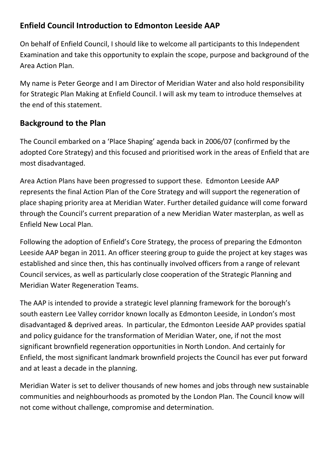### **Enfield Council Introduction to Edmonton Leeside AAP**

On behalf of Enfield Council, I should like to welcome all participants to this Independent Examination and take this opportunity to explain the scope, purpose and background of the Area Action Plan.

My name is Peter George and I am Director of Meridian Water and also hold responsibility for Strategic Plan Making at Enfield Council. I will ask my team to introduce themselves at the end of this statement.

# **Background to the Plan**

The Council embarked on a 'Place Shaping' agenda back in 2006/07 (confirmed by the adopted Core Strategy) and this focused and prioritised work in the areas of Enfield that are most disadvantaged.

Area Action Plans have been progressed to support these. Edmonton Leeside AAP represents the final Action Plan of the Core Strategy and will support the regeneration of place shaping priority area at Meridian Water. Further detailed guidance will come forward through the Council's current preparation of a new Meridian Water masterplan, as well as Enfield New Local Plan.

Following the adoption of Enfield's Core Strategy, the process of preparing the Edmonton Leeside AAP began in 2011. An officer steering group to guide the project at key stages was established and since then, this has continually involved officers from a range of relevant Council services, as well as particularly close cooperation of the Strategic Planning and Meridian Water Regeneration Teams.

The AAP is intended to provide a strategic level planning framework for the borough's south eastern Lee Valley corridor known locally as Edmonton Leeside, in London's most disadvantaged & deprived areas. In particular, the Edmonton Leeside AAP provides spatial and policy guidance for the transformation of Meridian Water, one, if not the most significant brownfield regeneration opportunities in North London. And certainly for Enfield, the most significant landmark brownfield projects the Council has ever put forward and at least a decade in the planning.

Meridian Water is set to deliver thousands of new homes and jobs through new sustainable communities and neighbourhoods as promoted by the London Plan. The Council know will not come without challenge, compromise and determination.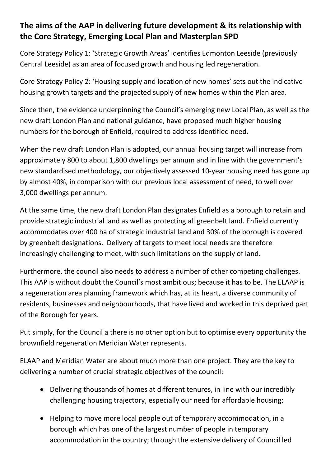# **The aims of the AAP in delivering future development & its relationship with the Core Strategy, Emerging Local Plan and Masterplan SPD**

Core Strategy Policy 1: 'Strategic Growth Areas' identifies Edmonton Leeside (previously Central Leeside) as an area of focused growth and housing led regeneration.

Core Strategy Policy 2: 'Housing supply and location of new homes' sets out the indicative housing growth targets and the projected supply of new homes within the Plan area.

Since then, the evidence underpinning the Council's emerging new Local Plan, as well as the new draft London Plan and national guidance, have proposed much higher housing numbers for the borough of Enfield, required to address identified need.

When the new draft London Plan is adopted, our annual housing target will increase from approximately 800 to about 1,800 dwellings per annum and in line with the government's new standardised methodology, our objectively assessed 10-year housing need has gone up by almost 40%, in comparison with our previous local assessment of need, to well over 3,000 dwellings per annum.

At the same time, the new draft London Plan designates Enfield as a borough to retain and provide strategic industrial land as well as protecting all greenbelt land. Enfield currently accommodates over 400 ha of strategic industrial land and 30% of the borough is covered by greenbelt designations. Delivery of targets to meet local needs are therefore increasingly challenging to meet, with such limitations on the supply of land.

Furthermore, the council also needs to address a number of other competing challenges. This AAP is without doubt the Council's most ambitious; because it has to be. The ELAAP is a regeneration area planning framework which has, at its heart, a diverse community of residents, businesses and neighbourhoods, that have lived and worked in this deprived part of the Borough for years.

Put simply, for the Council a there is no other option but to optimise every opportunity the brownfield regeneration Meridian Water represents.

ELAAP and Meridian Water are about much more than one project. They are the key to delivering a number of crucial strategic objectives of the council:

- Delivering thousands of homes at different tenures, in line with our incredibly challenging housing trajectory, especially our need for affordable housing;
- Helping to move more local people out of temporary accommodation, in a borough which has one of the largest number of people in temporary accommodation in the country; through the extensive delivery of Council led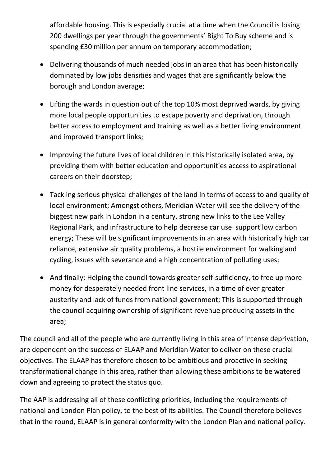affordable housing. This is especially crucial at a time when the Council is losing 200 dwellings per year through the governments' Right To Buy scheme and is spending £30 million per annum on temporary accommodation;

- Delivering thousands of much needed jobs in an area that has been historically dominated by low jobs densities and wages that are significantly below the borough and London average;
- Lifting the wards in question out of the top 10% most deprived wards, by giving more local people opportunities to escape poverty and deprivation, through better access to employment and training as well as a better living environment and improved transport links;
- Improving the future lives of local children in this historically isolated area, by providing them with better education and opportunities access to aspirational careers on their doorstep;
- Tackling serious physical challenges of the land in terms of access to and quality of local environment; Amongst others, Meridian Water will see the delivery of the biggest new park in London in a century, strong new links to the Lee Valley Regional Park, and infrastructure to help decrease car use support low carbon energy; These will be significant improvements in an area with historically high car reliance, extensive air quality problems, a hostile environment for walking and cycling, issues with severance and a high concentration of polluting uses;
- And finally: Helping the council towards greater self-sufficiency, to free up more money for desperately needed front line services, in a time of ever greater austerity and lack of funds from national government; This is supported through the council acquiring ownership of significant revenue producing assets in the area;

The council and all of the people who are currently living in this area of intense deprivation, are dependent on the success of ELAAP and Meridian Water to deliver on these crucial objectives. The ELAAP has therefore chosen to be ambitious and proactive in seeking transformational change in this area, rather than allowing these ambitions to be watered down and agreeing to protect the status quo.

The AAP is addressing all of these conflicting priorities, including the requirements of national and London Plan policy, to the best of its abilities. The Council therefore believes that in the round, ELAAP is in general conformity with the London Plan and national policy.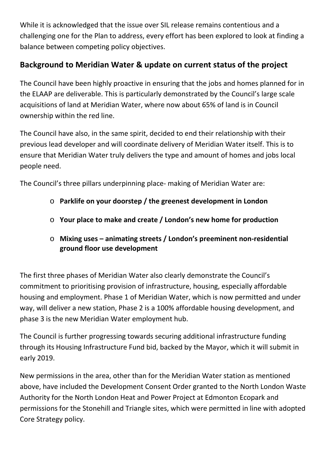While it is acknowledged that the issue over SIL release remains contentious and a challenging one for the Plan to address, every effort has been explored to look at finding a balance between competing policy objectives.

# **Background to Meridian Water & update on current status of the project**

The Council have been highly proactive in ensuring that the jobs and homes planned for in the ELAAP are deliverable. This is particularly demonstrated by the Council's large scale acquisitions of land at Meridian Water, where now about 65% of land is in Council ownership within the red line.

The Council have also, in the same spirit, decided to end their relationship with their previous lead developer and will coordinate delivery of Meridian Water itself. This is to ensure that Meridian Water truly delivers the type and amount of homes and jobs local people need.

The Council's three pillars underpinning place- making of Meridian Water are:

- o **Parklife on your doorstep / the greenest development in London**
- o **Your place to make and create / London's new home for production**
- o **Mixing uses – animating streets / London's preeminent non-residential ground floor use development**

The first three phases of Meridian Water also clearly demonstrate the Council's commitment to prioritising provision of infrastructure, housing, especially affordable housing and employment. Phase 1 of Meridian Water, which is now permitted and under way, will deliver a new station, Phase 2 is a 100% affordable housing development, and phase 3 is the new Meridian Water employment hub.

The Council is further progressing towards securing additional infrastructure funding through its Housing Infrastructure Fund bid, backed by the Mayor, which it will submit in early 2019.

New permissions in the area, other than for the Meridian Water station as mentioned above, have included the Development Consent Order granted to the North London Waste Authority for the North London Heat and Power Project at Edmonton Ecopark and permissions for the Stonehill and Triangle sites, which were permitted in line with adopted Core Strategy policy.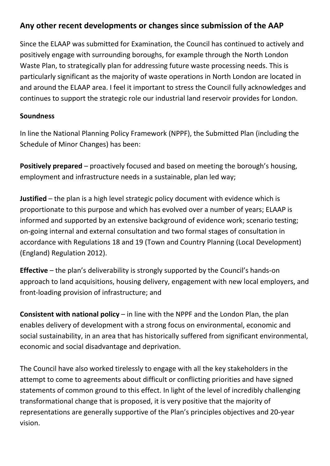#### **Any other recent developments or changes since submission of the AAP**

Since the ELAAP was submitted for Examination, the Council has continued to actively and positively engage with surrounding boroughs, for example through the North London Waste Plan, to strategically plan for addressing future waste processing needs. This is particularly significant as the majority of waste operations in North London are located in and around the ELAAP area. I feel it important to stress the Council fully acknowledges and continues to support the strategic role our industrial land reservoir provides for London.

#### **Soundness**

In line the National Planning Policy Framework (NPPF), the Submitted Plan (including the Schedule of Minor Changes) has been:

**Positively prepared** – proactively focused and based on meeting the borough's housing, employment and infrastructure needs in a sustainable, plan led way;

**Justified** – the plan is a high level strategic policy document with evidence which is proportionate to this purpose and which has evolved over a number of years; ELAAP is informed and supported by an extensive background of evidence work; scenario testing; on-going internal and external consultation and two formal stages of consultation in accordance with Regulations 18 and 19 (Town and Country Planning (Local Development) (England) Regulation 2012).

**Effective** – the plan's deliverability is strongly supported by the Council's hands-on approach to land acquisitions, housing delivery, engagement with new local employers, and front-loading provision of infrastructure; and

**Consistent with national policy** – in line with the NPPF and the London Plan, the plan enables delivery of development with a strong focus on environmental, economic and social sustainability, in an area that has historically suffered from significant environmental, economic and social disadvantage and deprivation.

The Council have also worked tirelessly to engage with all the key stakeholders in the attempt to come to agreements about difficult or conflicting priorities and have signed statements of common ground to this effect. In light of the level of incredibly challenging transformational change that is proposed, it is very positive that the majority of representations are generally supportive of the Plan's principles objectives and 20-year vision.